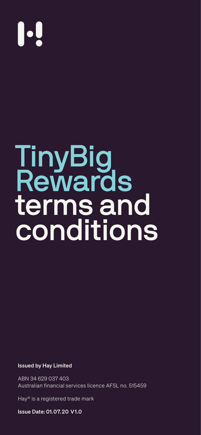# 

TinyBig

## Rewards terms and conditions

#### Issued by Hay Limited

ABN 34 629 037 403 Australian financial services licence AFSL no. 515459

Hay® is a registered trade mark

Issue Date: 01. 07. 20 V1.0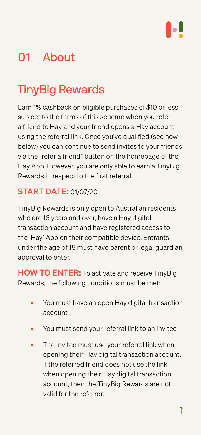

## 01 About

## TinyBig Rewards

Earn 1% cashback on eligible purchases of \$10 or less subject to the terms of this scheme when you refer a friend to Hay and your friend opens a Hay account using the referral link. Once you've qualified (see how below) you can continue to send invites to your friends via the "refer a friend" button on the homepage of the

Hay App. However, you are only able to earn a TinyBig Rewards in respect to the first referral.

HOW TO ENTER: To activate and receive TinyBig Rewards, the following conditions must be met:

### START DATE: 01/07/20

- You must have an open Hay digital transaction account
- You must send your referral link to an invitee
- The invitee must use your referral link when opening their Hay digital transaction account. If the referred friend does not use the link when opening their Hay digital transaction account, then the TinyBig Rewards are not valid for the referrer.

TinyBig Rewards is only open to Australian residents who are 16 years and over, have a Hay digital transaction account and have registered access to the 'Hay' App on their compatible device. Entrants under the age of 18 must have parent or legal guardian approval to enter.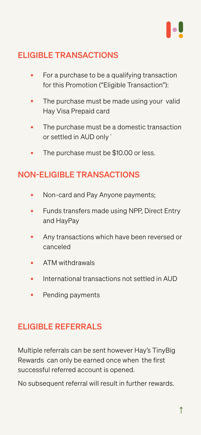#### ELIGIBLE TRANSACTIONS

- For a purchase to be a qualifying transaction for this Promotion ("Eligible Transaction"):
- The purchase must be made using your valid Hay Visa Prepaid card
- The purchase must be a domestic transaction or settled in AUD only`
- The purchase must be \$10.00 or less.

### NON-ELIGIBLE TRANSACTIONS

- Non-card and Pay Anyone payments;
- Funds transfers made using NPP, Direct Entry and HayPay
- Any transactions which have been reversed or canceled
- ATM withdrawals
- International transactions not settled in AUD
- Pending payments

#### ELIGIBLE REFERRALS

Multiple referrals can be sent however Hay's TinyBig Rewards can only be earned once when the first successful referred account is opened.

No subsequent referral will result in further rewards.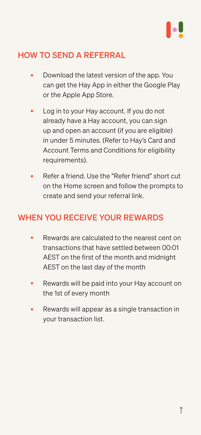#### HOW TO SEND A REFERRAL

- Download the latest version of the app. You can get the Hay App in either the Google Play or the Apple App Store.
- Log in to your Hay account. If you do not already have a Hay account, you can sign up and open an account (if you are eligible) in under 5 minutes. (Refer to Hay's Card and Account Terms and Conditions for eligibility requirements).
	-
- Refer a friend. Use the "Refer friend" short cut on the Home screen and follow the prompts to create and send your referral link.

- Rewards are calculated to the nearest cent on transactions that have settled between 00:01 AEST on the first of the month and midnight AEST on the last day of the month
- Rewards will be paid into your Hay account on the 1st of every month
- Rewards will appear as a single transaction in your transaction list.

#### WHEN YOU RECEIVE YOUR REWARDS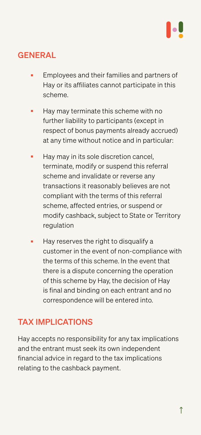#### GENERAL

- Employees and their families and partners of Hay or its affiliates cannot participate in this scheme.
- Hay may terminate this scheme with no further liability to participants (except in respect of bonus payments already accrued) at any time without notice and in particular:
- Hay may in its sole discretion cancel,

■ Hay reserves the right to disqualify a customer in the event of non-compliance with the terms of this scheme. In the event that there is a dispute concerning the operation of this scheme by Hay, the decision of Hay is final and binding on each entrant and no correspondence will be entered into.

terminate, modify or suspend this referral scheme and invalidate or reverse any transactions it reasonably believes are not compliant with the terms of this referral scheme, affected entries, or suspend or modify cashback, subject to State or Territory regulation

#### TAX IMPLICATIONS

Hay accepts no responsibility for any tax implications and the entrant must seek its own independent financial advice in regard to the tax implications relating to the cashback payment.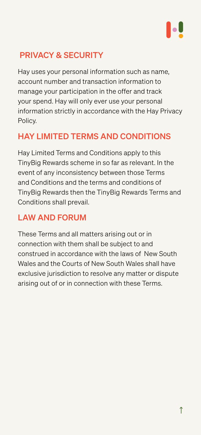### PRIVACY & SECURITY

Hay uses your personal information such as name, account number and transaction information to manage your participation in the offer and track your spend. Hay will only ever use your personal information strictly in accordance with the [Hay Privacy](http://www.hellohay.co/privacy)  [Policy.](http://www.hellohay.co/privacy)

### HAY LIMITED TERMS AND CONDITIONS

Hay Limited Terms and Conditions apply to this TinyBig Rewards scheme in so far as relevant. In the event of any inconsistency between those Terms and Conditions and the terms and conditions of TinyBig Rewards then the TinyBig Rewards Terms and Conditions shall prevail.

### LAW AND FORUM

These Terms and all matters arising out or in connection with them shall be subject to and construed in accordance with the laws of New South Wales and the Courts of New South Wales shall have exclusive jurisdiction to resolve any matter or dispute arising out of or in connection with these Terms.